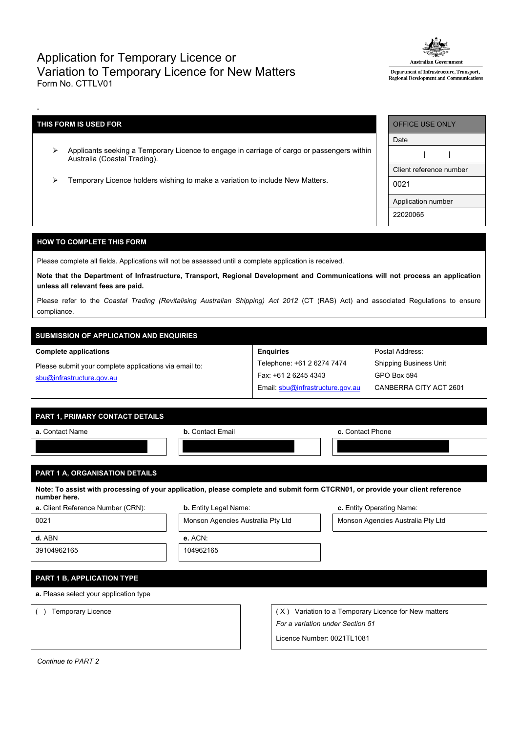## Application for Temporary Licence or Variation to Temporary Licence for New Matters Form No. CTTLV01



Department of Infrastructure, Transport, Regional Development and Communicati

## **THIS FORM IS USED FOR**

-

- Applicants seeking a Temporary Licence to engage in carriage of cargo or passengers within Australia (Coastal Trading).
- Temporary Licence holders wishing to make a variation to include New Matters.

| <b>OFFICE USE ONLY</b>  |  |  |  |  |
|-------------------------|--|--|--|--|
| Date                    |  |  |  |  |
|                         |  |  |  |  |
| Client reference number |  |  |  |  |
| 0021                    |  |  |  |  |
| Application number      |  |  |  |  |
| 22020065                |  |  |  |  |

## **HOW TO COMPLETE THIS FORM**

Please complete all fields. Applications will not be assessed until a complete application is received.

Note that the Department of Infrastructure, Transport, Regional Development and Communications will not process an application **unless all relevant fees are paid.**

Please refer to the *Coastal Trading (Revitalising Australian Shipping) Act 2012* (CT (RAS) Act) and associated Regulations to ensure compliance.

**Enquiries**

Telephone: +61 2 6274 7474 Fax: +61 2 6245 4343

Email: [sbu@infrastructure.gov.au](mailto:sbu@infrastructure.gov.au)

# **SUBMISSION OF APPLICATION AND ENQUIRIES**

#### **Complete applications**

Please submit your complete applications via email to: [sbu@infrastructure.gov.au](mailto:sbu@infrastructure.gov.au)

|  | <b>PART 1. PRIMARY CONTACT DETAILS</b> |  |
|--|----------------------------------------|--|
|  |                                        |  |

| a. Contact Name | <b>b.</b> Contact Email | c. Contact Phone |
|-----------------|-------------------------|------------------|
|                 |                         |                  |
|                 |                         |                  |

## **PART 1 A, ORGANISATION DETAILS**

Note: To assist with processing of your application, please complete and submit form CTCRN01, or provide your client reference **number here.**

| a. Client Reference Number (CRN) |  |
|----------------------------------|--|
|----------------------------------|--|

| <b>b.</b> Entity Legal Name: | c. Entity Operating Name: |
|------------------------------|---------------------------|
|                              |                           |

0021 Monson Agencies Australia Pty Ltd Monson Agencies Australia Pty Ltd **d.** ABN **e.** ACN:

Postal Address: Shipping Business Unit

GPO Box 594

CANBERRA CITY ACT 2601

39104962165 104962165

**PART 1 B, APPLICATION TYPE**

**a.** Please select your application type

() Temporary Licence ( X) Variation to a Temporary Licence for New matters *For a variation under Section 51*

Licence Number: 0021TL1081

*Continue to PART 2*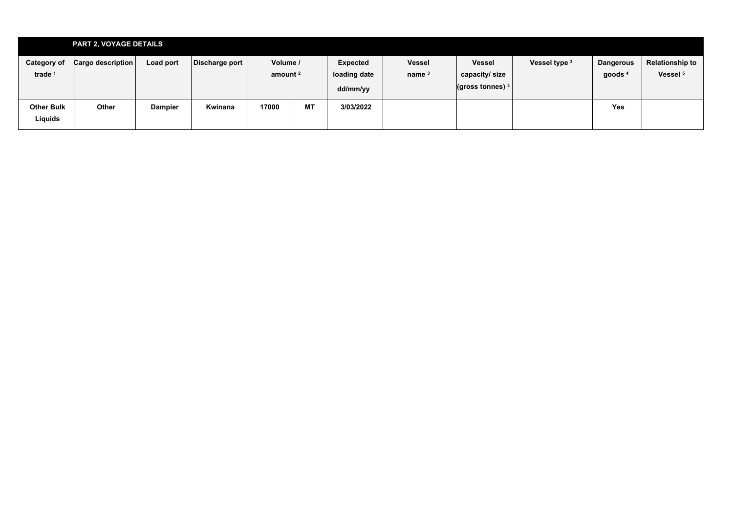|                                          | <b>PART 2, VOYAGE DETAILS</b> |                |                |                                 |           |                                             |                           |                                                               |               |                               |                                               |
|------------------------------------------|-------------------------------|----------------|----------------|---------------------------------|-----------|---------------------------------------------|---------------------------|---------------------------------------------------------------|---------------|-------------------------------|-----------------------------------------------|
| <b>Category of</b><br>trade <sup>1</sup> | Cargo description             | Load port      | Discharge port | Volume /<br>amount <sup>2</sup> |           | <b>Expected</b><br>loading date<br>dd/mm/yy | <b>Vessel</b><br>name $3$ | <b>Vessel</b><br>capacity/size<br>$\vert$ (gross tonnes) $^3$ | Vessel type 3 | <b>Dangerous</b><br>goods $4$ | <b>Relationship to</b><br>Vessel <sup>5</sup> |
| <b>Other Bulk</b><br>Liquids             | Other                         | <b>Dampier</b> | Kwinana        | 17000                           | <b>MT</b> | 3/03/2022                                   |                           |                                                               |               | <b>Yes</b>                    |                                               |